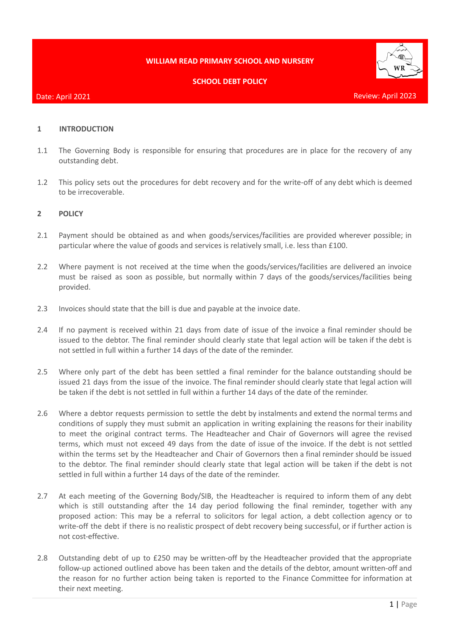# **WILLIAM READ PRIMARY SCHOOL AND NURSERY**



## **SCHOOL DEBT POLICY**

#### Date: April 2021

#### **1 INTRODUCTION**

- 1.1 The Governing Body is responsible for ensuring that procedures are in place for the recovery of any outstanding debt.
- 1.2 This policy sets out the procedures for debt recovery and for the write-off of any debt which is deemed to be irrecoverable.

### **2 POLICY**

- 2.1 Payment should be obtained as and when goods/services/facilities are provided wherever possible; in particular where the value of goods and services is relatively small, i.e. less than £100.
- 2.2 Where payment is not received at the time when the goods/services/facilities are delivered an invoice must be raised as soon as possible, but normally within 7 days of the goods/services/facilities being provided.
- 2.3 Invoices should state that the bill is due and payable at the invoice date.
- 2.4 If no payment is received within 21 days from date of issue of the invoice a final reminder should be issued to the debtor. The final reminder should clearly state that legal action will be taken if the debt is not settled in full within a further 14 days of the date of the reminder.
- 2.5 Where only part of the debt has been settled a final reminder for the balance outstanding should be issued 21 days from the issue of the invoice. The final reminder should clearly state that legal action will be taken if the debt is not settled in full within a further 14 days of the date of the reminder.
- 2.6 Where a debtor requests permission to settle the debt by instalments and extend the normal terms and conditions of supply they must submit an application in writing explaining the reasons for their inability to meet the original contract terms. The Headteacher and Chair of Governors will agree the revised terms, which must not exceed 49 days from the date of issue of the invoice. If the debt is not settled within the terms set by the Headteacher and Chair of Governors then a final reminder should be issued to the debtor. The final reminder should clearly state that legal action will be taken if the debt is not settled in full within a further 14 days of the date of the reminder.
- 2.7 At each meeting of the Governing Body/SIB, the Headteacher is required to inform them of any debt which is still outstanding after the 14 day period following the final reminder, together with any proposed action: This may be a referral to solicitors for legal action, a debt collection agency or to write-off the debt if there is no realistic prospect of debt recovery being successful, or if further action is not cost-effective.
- 2.8 Outstanding debt of up to £250 may be written-off by the Headteacher provided that the appropriate follow-up actioned outlined above has been taken and the details of the debtor, amount written-off and the reason for no further action being taken is reported to the Finance Committee for information at their next meeting.